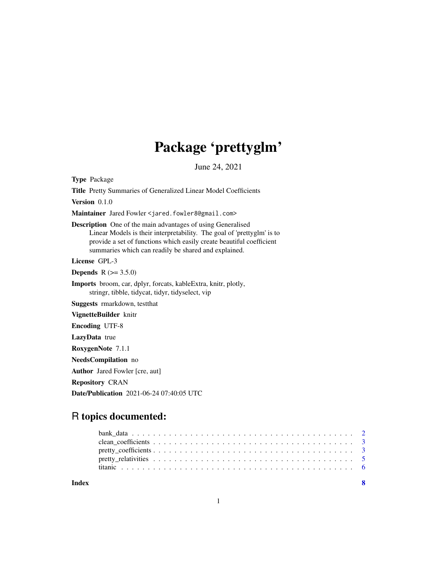## Package 'prettyglm'

June 24, 2021

<span id="page-0-0"></span>Type Package

Title Pretty Summaries of Generalized Linear Model Coefficients

Version 0.1.0

Maintainer Jared Fowler <jared.fowler8@gmail.com>

Description One of the main advantages of using Generalised Linear Models is their interpretability. The goal of 'prettyglm' is to provide a set of functions which easily create beautiful coefficient summaries which can readily be shared and explained.

License GPL-3

**Depends**  $R (= 3.5.0)$ 

Imports broom, car, dplyr, forcats, kableExtra, knitr, plotly, stringr, tibble, tidycat, tidyr, tidyselect, vip

Suggests rmarkdown, testthat

VignetteBuilder knitr

Encoding UTF-8

LazyData true

RoxygenNote 7.1.1

NeedsCompilation no

Author Jared Fowler [cre, aut]

Repository CRAN

Date/Publication 2021-06-24 07:40:05 UTC

### R topics documented:

| Index |  |  |  |  |  |  |  |  |  |  |  |  |  |  |  |  |  |  |  |
|-------|--|--|--|--|--|--|--|--|--|--|--|--|--|--|--|--|--|--|--|

1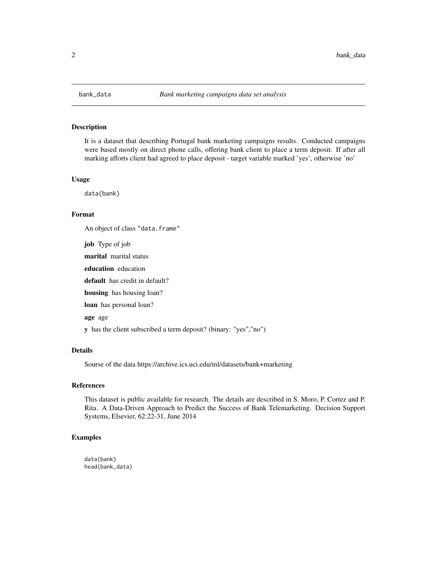<span id="page-1-0"></span>

#### Description

It is a dataset that describing Portugal bank marketing campaigns results. Conducted campaigns were based mostly on direct phone calls, offering bank client to place a term deposit. If after all marking afforts client had agreed to place deposit - target variable marked 'yes', otherwise 'no'

#### Usage

data(bank)

#### Format

An object of class "data.frame"

job Type of job marital marital status education education default has credit in default? housing has housing loan? loan has personal loan? age age y has the client subscribed a term deposit? (binary: "yes","no")

#### Details

Sourse of the data https://archive.ics.uci.edu/ml/datasets/bank+marketing

#### References

This dataset is public available for research. The details are described in S. Moro, P. Cortez and P. Rita. A Data-Driven Approach to Predict the Success of Bank Telemarketing. Decision Support Systems, Elsevier, 62:22-31, June 2014

#### Examples

data(bank) head(bank\_data)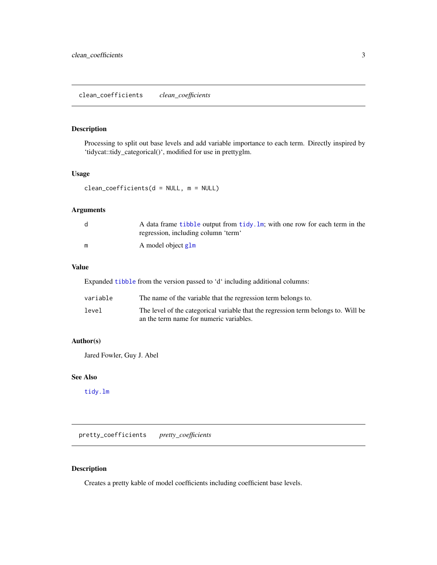#### <span id="page-2-0"></span>Description

Processing to split out base levels and add variable importance to each term. Directly inspired by 'tidycat::tidy\_categorical()', modified for use in prettyglm.

#### Usage

```
clean_coefficients(d = NULL, m = NULL)
```
#### Arguments

|   | A data frame tibble output from tidy. $\text{Im}$ ; with one row for each term in the<br>regression, including column 'term' |
|---|------------------------------------------------------------------------------------------------------------------------------|
| m | A model object glm                                                                                                           |

#### Value

Expanded [tibble](#page-0-0) from the version passed to 'd' including additional columns:

| variable | The name of the variable that the regression term belongs to.                      |
|----------|------------------------------------------------------------------------------------|
| level    | The level of the categorical variable that the regression term belongs to. Will be |
|          | an the term name for numeric variables.                                            |

#### Author(s)

Jared Fowler, Guy J. Abel

#### See Also

[tidy.lm](#page-0-0)

pretty\_coefficients *pretty\_coefficients*

#### Description

Creates a pretty kable of model coefficients including coefficient base levels.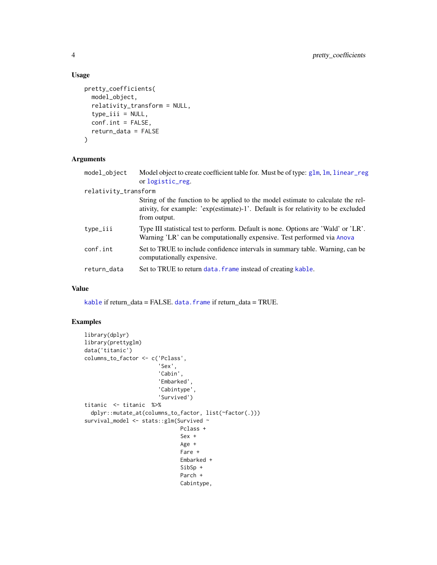#### Usage

```
pretty_coefficients(
 model_object,
  relativity_transform = NULL,
  type\_iii = NULL,conf.int = FALSE,
  return_data = FALSE
)
```
#### Arguments

| model_object         | Model object to create coefficient table for. Must be of type: glm, lm, linear_reg<br>or logistic_reg.                                                                                |
|----------------------|---------------------------------------------------------------------------------------------------------------------------------------------------------------------------------------|
| relativity_transform |                                                                                                                                                                                       |
|                      | String of the function to be applied to the model estimate to calculate the rel-<br>ativity, for example: 'exp(estimate)-1'. Default is for relativity to be excluded<br>from output. |
| type_iii             | Type III statistical test to perform. Default is none. Options are 'Wald' or 'LR'.<br>Warning 'LR' can be computationally expensive. Test performed via Anova                         |
| conf.int             | Set to TRUE to include confidence intervals in summary table. Warning, can be<br>computationally expensive.                                                                           |
| return_data          | Set to TRUE to return data. frame instead of creating kable.                                                                                                                          |

#### Value

[kable](#page-0-0) if return\_data = FALSE. [data.frame](#page-0-0) if return\_data = TRUE.

#### Examples

```
library(dplyr)
library(prettyglm)
data('titanic')
columns_to_factor <- c('Pclass',
                       'Sex',
                       'Cabin',
                       'Embarked',
                       'Cabintype',
                       'Survived')
titanic <- titanic %>%
  dplyr::mutate_at(columns_to_factor, list(~factor(.)))
survival_model <- stats::glm(Survived ~
                              Pclass +
                              Sex +
                              Age +
                              Fare +
                              Embarked +
                              SibSp +
                              Parch +
                              Cabintype,
```
<span id="page-3-0"></span>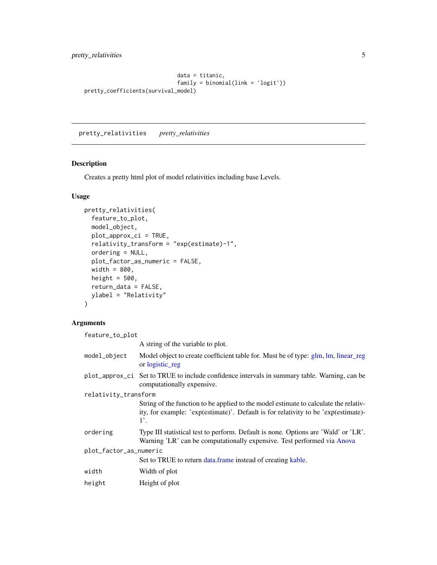<span id="page-4-0"></span>pretty\_relativities 5

```
data = titanic,
                             family = binomial(link = 'logit'))
pretty_coefficients(survival_model)
```
pretty\_relativities *pretty\_relativities*

#### Description

Creates a pretty html plot of model relativities including base Levels.

#### Usage

```
pretty_relativities(
 feature_to_plot,
 model_object,
 plot_approx_ci = TRUE,
  relativity_transform = "exp(estimate)-1",
  ordering = NULL,
 plot_factor_as_numeric = FALSE,
 width = 800,
 height = 500,
 return_data = FALSE,
 ylabel = "Relativity"
\mathcal{L}
```
#### Arguments

| feature_to_plot                                                                                                                                                                              |
|----------------------------------------------------------------------------------------------------------------------------------------------------------------------------------------------|
| A string of the variable to plot.                                                                                                                                                            |
| Model object to create coefficient table for. Must be of type: glm, lm, linear reg<br>or logistic_reg                                                                                        |
| plot_approx_ci Set to TRUE to include confidence intervals in summary table. Warning, can be<br>computationally expensive.                                                                   |
| relativity_transform                                                                                                                                                                         |
| String of the function to be applied to the model estimate to calculate the relativ-<br>ity, for example: 'exp(estimate)'. Default is for relativity to be 'exp(estimate)-<br>$1^{\prime}$ . |
| Type III statistical test to perform. Default is none. Options are 'Wald' or 'LR'.<br>Warning 'LR' can be computationally expensive. Test performed via Anova                                |
| plot_factor_as_numeric                                                                                                                                                                       |
| Set to TRUE to return data.frame instead of creating kable.                                                                                                                                  |
| Width of plot                                                                                                                                                                                |
| Height of plot                                                                                                                                                                               |
|                                                                                                                                                                                              |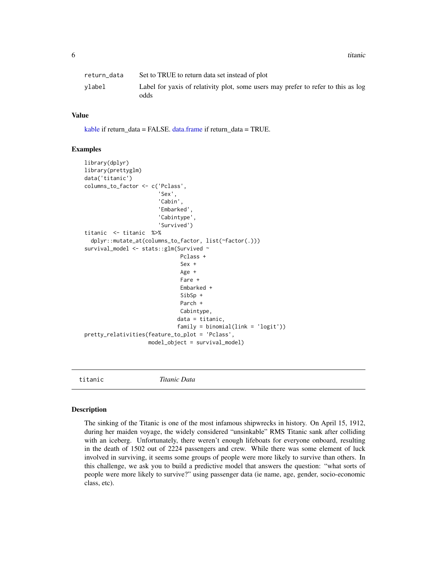<span id="page-5-0"></span>6 titanic contract of the contract of the contract of the contract of the contract of the contract of the contract of the contract of the contract of the contract of the contract of the contract of the contract of the cont

| return data | Set to TRUE to return data set instead of plot                                            |
|-------------|-------------------------------------------------------------------------------------------|
| vlabel      | Label for yaxis of relativity plot, some users may prefer to refer to this as log<br>odds |

#### Value

[kable](#page-0-0) if return\_data = FALSE. [data.frame](#page-0-0) if return\_data = TRUE.

#### Examples

```
library(dplyr)
library(prettyglm)
data('titanic')
columns_to_factor <- c('Pclass',
                        'Sex',
                       'Cabin',
                       'Embarked',
                        'Cabintype',
                       'Survived')
titanic <- titanic %>%
  dplyr::mutate_at(columns_to_factor, list(~factor(.)))
survival_model <- stats::glm(Survived ~
                              Pclass +
                              Sex +
                              Age +
                              Fare +
                              Embarked +
                              SibSp +
                              Parch +
                              Cabintype,
                             data = titanic,
                             family = binomial(link = 'logit')pretty_relativities(feature_to_plot = 'Pclass',
                    model_object = survival_model)
```
titanic *Titanic Data*

#### **Description**

The sinking of the Titanic is one of the most infamous shipwrecks in history. On April 15, 1912, during her maiden voyage, the widely considered "unsinkable" RMS Titanic sank after colliding with an iceberg. Unfortunately, there weren't enough lifeboats for everyone onboard, resulting in the death of 1502 out of 2224 passengers and crew. While there was some element of luck involved in surviving, it seems some groups of people were more likely to survive than others. In this challenge, we ask you to build a predictive model that answers the question: "what sorts of people were more likely to survive?" using passenger data (ie name, age, gender, socio-economic class, etc).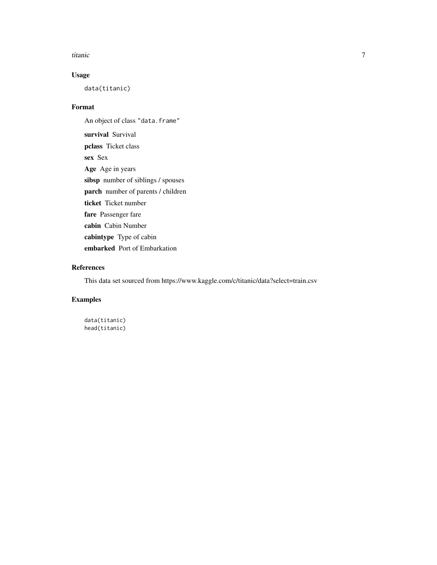#### titanic 7 and 7 and 7 and 7 and 7 and 7 and 7 and 7 and 7 and 7 and 7 and 7 and 7 and 7 and 7 and 7 and 7 and 7

#### Usage

data(titanic)

#### Format

An object of class "data.frame" survival Survival pclass Ticket class sex Sex Age Age in years sibsp number of siblings / spouses parch number of parents / children ticket Ticket number fare Passenger fare cabin Cabin Number cabintype Type of cabin embarked Port of Embarkation

#### References

This data set sourced from https://www.kaggle.com/c/titanic/data?select=train.csv

#### Examples

data(titanic) head(titanic)